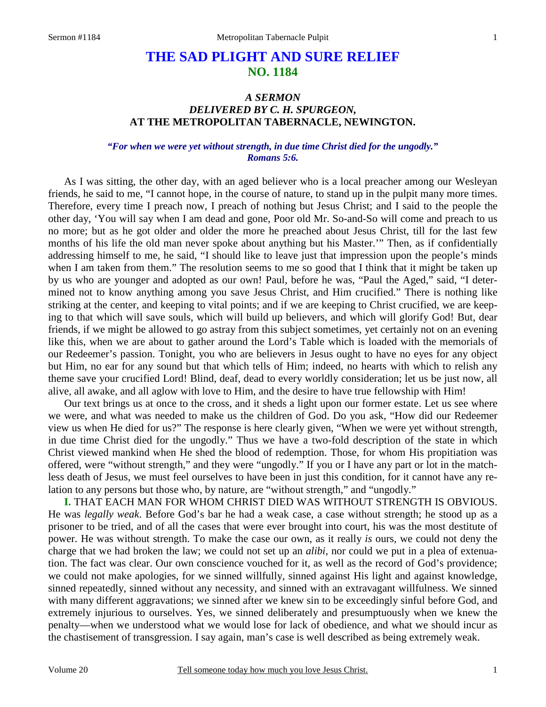# **THE SAD PLIGHT AND SURE RELIEF NO. 1184**

## *A SERMON DELIVERED BY C. H. SPURGEON,*  **AT THE METROPOLITAN TABERNACLE, NEWINGTON.**

#### *"For when we were yet without strength, in due time Christ died for the ungodly." Romans 5:6.*

As I was sitting, the other day, with an aged believer who is a local preacher among our Wesleyan friends, he said to me, "I cannot hope, in the course of nature, to stand up in the pulpit many more times. Therefore, every time I preach now, I preach of nothing but Jesus Christ; and I said to the people the other day, 'You will say when I am dead and gone, Poor old Mr. So-and-So will come and preach to us no more; but as he got older and older the more he preached about Jesus Christ, till for the last few months of his life the old man never spoke about anything but his Master.'" Then, as if confidentially addressing himself to me, he said, "I should like to leave just that impression upon the people's minds when I am taken from them." The resolution seems to me so good that I think that it might be taken up by us who are younger and adopted as our own! Paul, before he was, "Paul the Aged," said, "I determined not to know anything among you save Jesus Christ, and Him crucified." There is nothing like striking at the center, and keeping to vital points; and if we are keeping to Christ crucified, we are keeping to that which will save souls, which will build up believers, and which will glorify God! But, dear friends, if we might be allowed to go astray from this subject sometimes, yet certainly not on an evening like this, when we are about to gather around the Lord's Table which is loaded with the memorials of our Redeemer's passion. Tonight, you who are believers in Jesus ought to have no eyes for any object but Him, no ear for any sound but that which tells of Him; indeed, no hearts with which to relish any theme save your crucified Lord! Blind, deaf, dead to every worldly consideration; let us be just now, all alive, all awake, and all aglow with love to Him, and the desire to have true fellowship with Him!

Our text brings us at once to the cross, and it sheds a light upon our former estate. Let us see where we were, and what was needed to make us the children of God. Do you ask, "How did our Redeemer view us when He died for us?" The response is here clearly given, "When we were yet without strength, in due time Christ died for the ungodly." Thus we have a two-fold description of the state in which Christ viewed mankind when He shed the blood of redemption. Those, for whom His propitiation was offered, were "without strength," and they were "ungodly." If you or I have any part or lot in the matchless death of Jesus, we must feel ourselves to have been in just this condition, for it cannot have any relation to any persons but those who, by nature, are "without strength," and "ungodly."

**I.** THAT EACH MAN FOR WHOM CHRIST DIED WAS WITHOUT STRENGTH IS OBVIOUS. He was *legally weak*. Before God's bar he had a weak case, a case without strength; he stood up as a prisoner to be tried, and of all the cases that were ever brought into court, his was the most destitute of power. He was without strength. To make the case our own, as it really *is* ours, we could not deny the charge that we had broken the law; we could not set up an *alibi,* nor could we put in a plea of extenuation. The fact was clear. Our own conscience vouched for it, as well as the record of God's providence; we could not make apologies, for we sinned willfully, sinned against His light and against knowledge, sinned repeatedly, sinned without any necessity, and sinned with an extravagant willfulness. We sinned with many different aggravations; we sinned after we knew sin to be exceedingly sinful before God, and extremely injurious to ourselves. Yes, we sinned deliberately and presumptuously when we knew the penalty—when we understood what we would lose for lack of obedience, and what we should incur as the chastisement of transgression. I say again, man's case is well described as being extremely weak.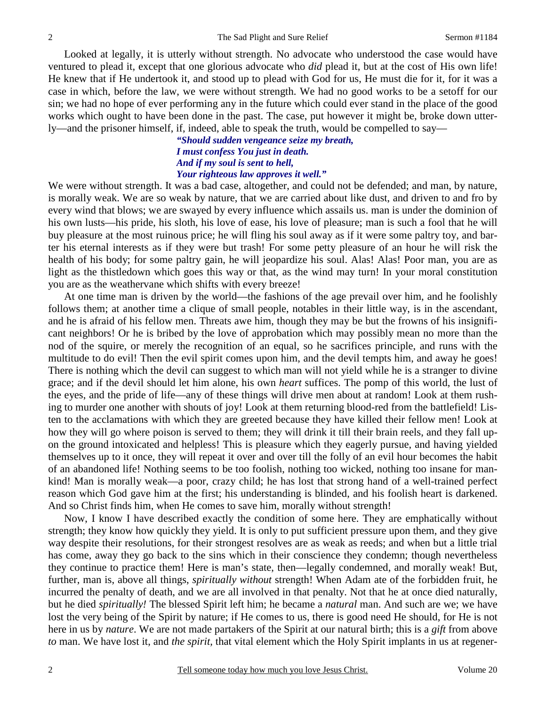Looked at legally, it is utterly without strength. No advocate who understood the case would have ventured to plead it, except that one glorious advocate who *did* plead it, but at the cost of His own life! He knew that if He undertook it, and stood up to plead with God for us, He must die for it, for it was a case in which, before the law, we were without strength. We had no good works to be a setoff for our sin; we had no hope of ever performing any in the future which could ever stand in the place of the good works which ought to have been done in the past. The case, put however it might be, broke down utterly—and the prisoner himself, if, indeed, able to speak the truth, would be compelled to say—

> *"Should sudden vengeance seize my breath, I must confess You just in death. And if my soul is sent to hell, Your righteous law approves it well."*

We were without strength. It was a bad case, altogether, and could not be defended; and man, by nature, is morally weak. We are so weak by nature, that we are carried about like dust, and driven to and fro by every wind that blows; we are swayed by every influence which assails us. man is under the dominion of his own lusts—his pride, his sloth, his love of ease, his love of pleasure; man is such a fool that he will buy pleasure at the most ruinous price; he will fling his soul away as if it were some paltry toy, and barter his eternal interests as if they were but trash! For some petty pleasure of an hour he will risk the health of his body; for some paltry gain, he will jeopardize his soul. Alas! Alas! Poor man, you are as light as the thistledown which goes this way or that, as the wind may turn! In your moral constitution you are as the weathervane which shifts with every breeze!

At one time man is driven by the world—the fashions of the age prevail over him, and he foolishly follows them; at another time a clique of small people, notables in their little way, is in the ascendant, and he is afraid of his fellow men. Threats awe him, though they may be but the frowns of his insignificant neighbors! Or he is bribed by the love of approbation which may possibly mean no more than the nod of the squire, or merely the recognition of an equal, so he sacrifices principle, and runs with the multitude to do evil! Then the evil spirit comes upon him, and the devil tempts him, and away he goes! There is nothing which the devil can suggest to which man will not yield while he is a stranger to divine grace; and if the devil should let him alone, his own *heart* suffices. The pomp of this world, the lust of the eyes, and the pride of life—any of these things will drive men about at random! Look at them rushing to murder one another with shouts of joy! Look at them returning blood-red from the battlefield! Listen to the acclamations with which they are greeted because they have killed their fellow men! Look at how they will go where poison is served to them; they will drink it till their brain reels, and they fall upon the ground intoxicated and helpless! This is pleasure which they eagerly pursue, and having yielded themselves up to it once, they will repeat it over and over till the folly of an evil hour becomes the habit of an abandoned life! Nothing seems to be too foolish, nothing too wicked, nothing too insane for mankind! Man is morally weak—a poor, crazy child; he has lost that strong hand of a well-trained perfect reason which God gave him at the first; his understanding is blinded, and his foolish heart is darkened. And so Christ finds him, when He comes to save him, morally without strength!

Now, I know I have described exactly the condition of some here. They are emphatically without strength; they know how quickly they yield. It is only to put sufficient pressure upon them, and they give way despite their resolutions, for their strongest resolves are as weak as reeds; and when but a little trial has come, away they go back to the sins which in their conscience they condemn; though nevertheless they continue to practice them! Here is man's state, then—legally condemned, and morally weak! But, further, man is, above all things, *spiritually without* strength! When Adam ate of the forbidden fruit, he incurred the penalty of death, and we are all involved in that penalty. Not that he at once died naturally, but he died *spiritually!* The blessed Spirit left him; he became a *natural* man. And such are we; we have lost the very being of the Spirit by nature; if He comes to us, there is good need He should, for He is not here in us by *nature*. We are not made partakers of the Spirit at our natural birth; this is a *gift* from above *to* man. We have lost it, and *the spirit,* that vital element which the Holy Spirit implants in us at regener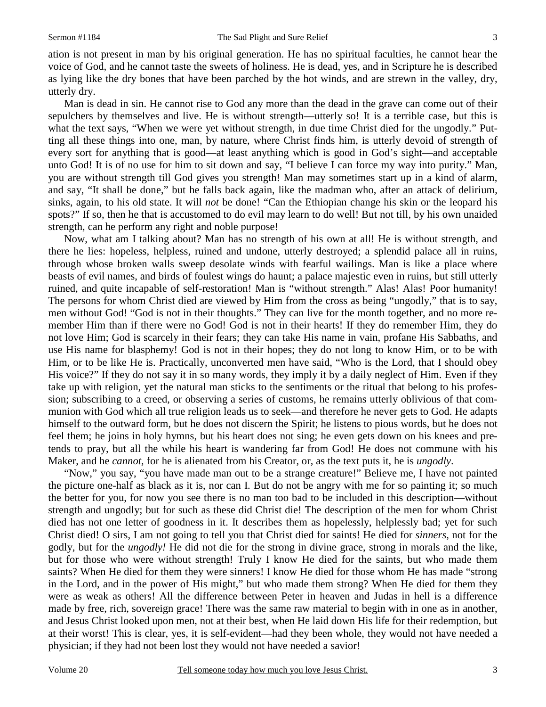ation is not present in man by his original generation. He has no spiritual faculties, he cannot hear the voice of God, and he cannot taste the sweets of holiness. He is dead, yes, and in Scripture he is described as lying like the dry bones that have been parched by the hot winds, and are strewn in the valley, dry, utterly dry.

Man is dead in sin. He cannot rise to God any more than the dead in the grave can come out of their sepulchers by themselves and live. He is without strength—utterly so! It is a terrible case, but this is what the text says, "When we were yet without strength, in due time Christ died for the ungodly." Putting all these things into one, man, by nature, where Christ finds him, is utterly devoid of strength of every sort for anything that is good—at least anything which is good in God's sight—and acceptable unto God! It is of no use for him to sit down and say, "I believe I can force my way into purity." Man, you are without strength till God gives you strength! Man may sometimes start up in a kind of alarm, and say, "It shall be done," but he falls back again, like the madman who, after an attack of delirium, sinks, again, to his old state. It will *not* be done! "Can the Ethiopian change his skin or the leopard his spots?" If so, then he that is accustomed to do evil may learn to do well! But not till, by his own unaided strength, can he perform any right and noble purpose!

Now, what am I talking about? Man has no strength of his own at all! He is without strength, and there he lies: hopeless, helpless, ruined and undone, utterly destroyed; a splendid palace all in ruins, through whose broken walls sweep desolate winds with fearful wailings. Man is like a place where beasts of evil names, and birds of foulest wings do haunt; a palace majestic even in ruins, but still utterly ruined, and quite incapable of self-restoration! Man is "without strength." Alas! Alas! Poor humanity! The persons for whom Christ died are viewed by Him from the cross as being "ungodly," that is to say, men without God! "God is not in their thoughts." They can live for the month together, and no more remember Him than if there were no God! God is not in their hearts! If they do remember Him, they do not love Him; God is scarcely in their fears; they can take His name in vain, profane His Sabbaths, and use His name for blasphemy! God is not in their hopes; they do not long to know Him, or to be with Him, or to be like He is. Practically, unconverted men have said, "Who is the Lord, that I should obey His voice?" If they do not say it in so many words, they imply it by a daily neglect of Him. Even if they take up with religion, yet the natural man sticks to the sentiments or the ritual that belong to his profession; subscribing to a creed, or observing a series of customs, he remains utterly oblivious of that communion with God which all true religion leads us to seek—and therefore he never gets to God. He adapts himself to the outward form, but he does not discern the Spirit; he listens to pious words, but he does not feel them; he joins in holy hymns, but his heart does not sing; he even gets down on his knees and pretends to pray, but all the while his heart is wandering far from God! He does not commune with his Maker, and he *cannot,* for he is alienated from his Creator, or, as the text puts it, he is *ungodly*.

"Now," you say, "you have made man out to be a strange creature!" Believe me, I have not painted the picture one-half as black as it is, nor can I. But do not be angry with me for so painting it; so much the better for you, for now you see there is no man too bad to be included in this description—without strength and ungodly; but for such as these did Christ die! The description of the men for whom Christ died has not one letter of goodness in it. It describes them as hopelessly, helplessly bad; yet for such Christ died! O sirs, I am not going to tell you that Christ died for saints! He died for *sinners,* not for the godly, but for the *ungodly!* He did not die for the strong in divine grace, strong in morals and the like, but for those who were without strength! Truly I know He died for the saints, but who made them saints? When He died for them they were sinners! I know He died for those whom He has made "strong in the Lord, and in the power of His might," but who made them strong? When He died for them they were as weak as others! All the difference between Peter in heaven and Judas in hell is a difference made by free, rich, sovereign grace! There was the same raw material to begin with in one as in another, and Jesus Christ looked upon men, not at their best, when He laid down His life for their redemption, but at their worst! This is clear, yes, it is self-evident—had they been whole, they would not have needed a physician; if they had not been lost they would not have needed a savior!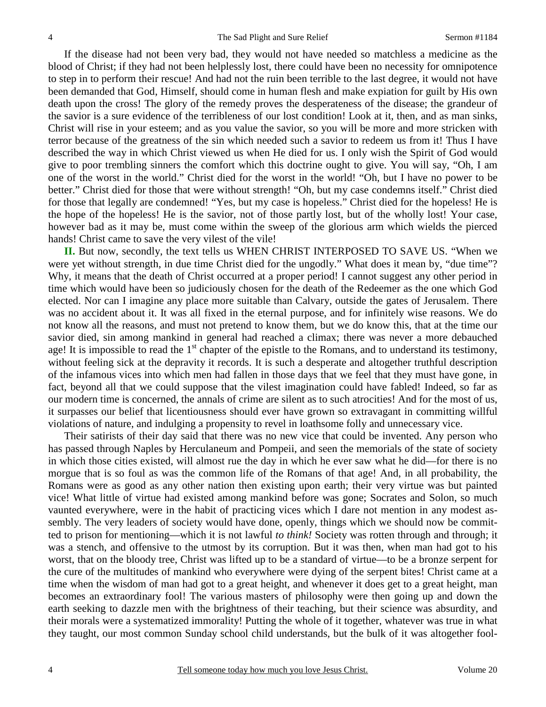If the disease had not been very bad, they would not have needed so matchless a medicine as the blood of Christ; if they had not been helplessly lost, there could have been no necessity for omnipotence to step in to perform their rescue! And had not the ruin been terrible to the last degree, it would not have been demanded that God, Himself, should come in human flesh and make expiation for guilt by His own death upon the cross! The glory of the remedy proves the desperateness of the disease; the grandeur of the savior is a sure evidence of the terribleness of our lost condition! Look at it, then, and as man sinks, Christ will rise in your esteem; and as you value the savior, so you will be more and more stricken with terror because of the greatness of the sin which needed such a savior to redeem us from it! Thus I have described the way in which Christ viewed us when He died for us. I only wish the Spirit of God would give to poor trembling sinners the comfort which this doctrine ought to give. You will say, "Oh, I am one of the worst in the world." Christ died for the worst in the world! "Oh, but I have no power to be better." Christ died for those that were without strength! "Oh, but my case condemns itself." Christ died for those that legally are condemned! "Yes, but my case is hopeless." Christ died for the hopeless! He is the hope of the hopeless! He is the savior, not of those partly lost, but of the wholly lost! Your case, however bad as it may be, must come within the sweep of the glorious arm which wields the pierced hands! Christ came to save the very vilest of the vile!

**II.** But now, secondly, the text tells us WHEN CHRIST INTERPOSED TO SAVE US. "When we were yet without strength, in due time Christ died for the ungodly." What does it mean by, "due time"? Why, it means that the death of Christ occurred at a proper period! I cannot suggest any other period in time which would have been so judiciously chosen for the death of the Redeemer as the one which God elected. Nor can I imagine any place more suitable than Calvary, outside the gates of Jerusalem. There was no accident about it. It was all fixed in the eternal purpose, and for infinitely wise reasons. We do not know all the reasons, and must not pretend to know them, but we do know this, that at the time our savior died, sin among mankind in general had reached a climax; there was never a more debauched age! It is impossible to read the  $1<sup>st</sup>$  chapter of the epistle to the Romans, and to understand its testimony, without feeling sick at the depravity it records. It is such a desperate and altogether truthful description of the infamous vices into which men had fallen in those days that we feel that they must have gone, in fact, beyond all that we could suppose that the vilest imagination could have fabled! Indeed, so far as our modern time is concerned, the annals of crime are silent as to such atrocities! And for the most of us, it surpasses our belief that licentiousness should ever have grown so extravagant in committing willful violations of nature, and indulging a propensity to revel in loathsome folly and unnecessary vice.

Their satirists of their day said that there was no new vice that could be invented. Any person who has passed through Naples by Herculaneum and Pompeii, and seen the memorials of the state of society in which those cities existed, will almost rue the day in which he ever saw what he did—for there is no morgue that is so foul as was the common life of the Romans of that age! And, in all probability, the Romans were as good as any other nation then existing upon earth; their very virtue was but painted vice! What little of virtue had existed among mankind before was gone; Socrates and Solon, so much vaunted everywhere, were in the habit of practicing vices which I dare not mention in any modest assembly. The very leaders of society would have done, openly, things which we should now be committed to prison for mentioning—which it is not lawful *to think!* Society was rotten through and through; it was a stench, and offensive to the utmost by its corruption. But it was then, when man had got to his worst, that on the bloody tree, Christ was lifted up to be a standard of virtue—to be a bronze serpent for the cure of the multitudes of mankind who everywhere were dying of the serpent bites! Christ came at a time when the wisdom of man had got to a great height, and whenever it does get to a great height, man becomes an extraordinary fool! The various masters of philosophy were then going up and down the earth seeking to dazzle men with the brightness of their teaching, but their science was absurdity, and their morals were a systematized immorality! Putting the whole of it together, whatever was true in what they taught, our most common Sunday school child understands, but the bulk of it was altogether fool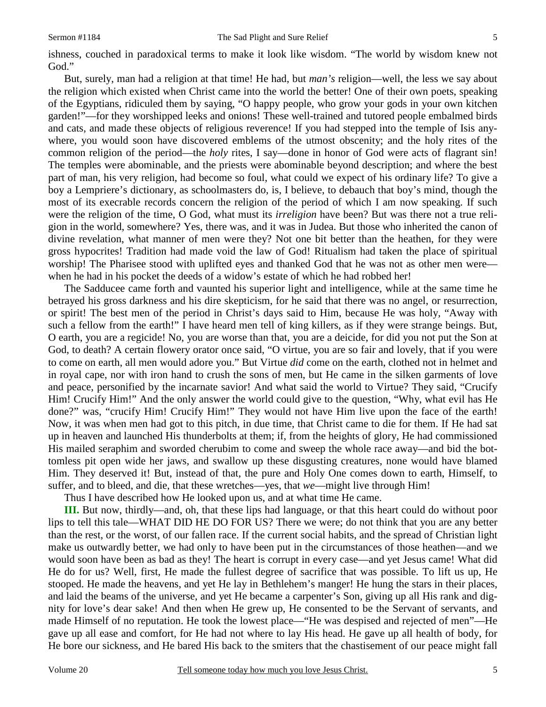ishness, couched in paradoxical terms to make it look like wisdom. "The world by wisdom knew not God."

But, surely, man had a religion at that time! He had, but *man's* religion—well, the less we say about the religion which existed when Christ came into the world the better! One of their own poets, speaking of the Egyptians, ridiculed them by saying, "O happy people, who grow your gods in your own kitchen garden!"—for they worshipped leeks and onions! These well-trained and tutored people embalmed birds and cats, and made these objects of religious reverence! If you had stepped into the temple of Isis anywhere, you would soon have discovered emblems of the utmost obscenity; and the holy rites of the common religion of the period—the *holy* rites, I say—done in honor of God were acts of flagrant sin! The temples were abominable, and the priests were abominable beyond description; and where the best part of man, his very religion, had become so foul, what could we expect of his ordinary life? To give a boy a Lempriere's dictionary, as schoolmasters do, is, I believe, to debauch that boy's mind, though the most of its execrable records concern the religion of the period of which I am now speaking. If such were the religion of the time, O God, what must its *irreligion* have been? But was there not a true religion in the world, somewhere? Yes, there was, and it was in Judea. But those who inherited the canon of divine revelation, what manner of men were they? Not one bit better than the heathen, for they were gross hypocrites! Tradition had made void the law of God! Ritualism had taken the place of spiritual worship! The Pharisee stood with uplifted eyes and thanked God that he was not as other men were when he had in his pocket the deeds of a widow's estate of which he had robbed her!

The Sadducee came forth and vaunted his superior light and intelligence, while at the same time he betrayed his gross darkness and his dire skepticism, for he said that there was no angel, or resurrection, or spirit! The best men of the period in Christ's days said to Him, because He was holy, "Away with such a fellow from the earth!" I have heard men tell of king killers, as if they were strange beings. But, O earth, you are a regicide! No, you are worse than that, you are a deicide, for did you not put the Son at God, to death? A certain flowery orator once said, "O virtue, you are so fair and lovely, that if you were to come on earth, all men would adore you." But Virtue *did* come on the earth, clothed not in helmet and in royal cape, nor with iron hand to crush the sons of men, but He came in the silken garments of love and peace, personified by the incarnate savior! And what said the world to Virtue? They said, "Crucify Him! Crucify Him!" And the only answer the world could give to the question, "Why, what evil has He done?" was, "crucify Him! Crucify Him!" They would not have Him live upon the face of the earth! Now, it was when men had got to this pitch, in due time, that Christ came to die for them. If He had sat up in heaven and launched His thunderbolts at them; if, from the heights of glory, He had commissioned His mailed seraphim and sworded cherubim to come and sweep the whole race away—and bid the bottomless pit open wide her jaws, and swallow up these disgusting creatures, none would have blamed Him. They deserved it! But, instead of that, the pure and Holy One comes down to earth, Himself, to suffer, and to bleed, and die, that these wretches—yes, that *we*—might live through Him!

Thus I have described how He looked upon us, and at what time He came.

**III.** But now, thirdly—and, oh, that these lips had language, or that this heart could do without poor lips to tell this tale—WHAT DID HE DO FOR US? There we were; do not think that you are any better than the rest, or the worst, of our fallen race. If the current social habits, and the spread of Christian light make us outwardly better, we had only to have been put in the circumstances of those heathen—and we would soon have been as bad as they! The heart is corrupt in every case—and yet Jesus came! What did He do for us? Well, first, He made the fullest degree of sacrifice that was possible. To lift us up, He stooped. He made the heavens, and yet He lay in Bethlehem's manger! He hung the stars in their places, and laid the beams of the universe, and yet He became a carpenter's Son, giving up all His rank and dignity for love's dear sake! And then when He grew up, He consented to be the Servant of servants, and made Himself of no reputation. He took the lowest place—"He was despised and rejected of men"—He gave up all ease and comfort, for He had not where to lay His head. He gave up all health of body, for He bore our sickness, and He bared His back to the smiters that the chastisement of our peace might fall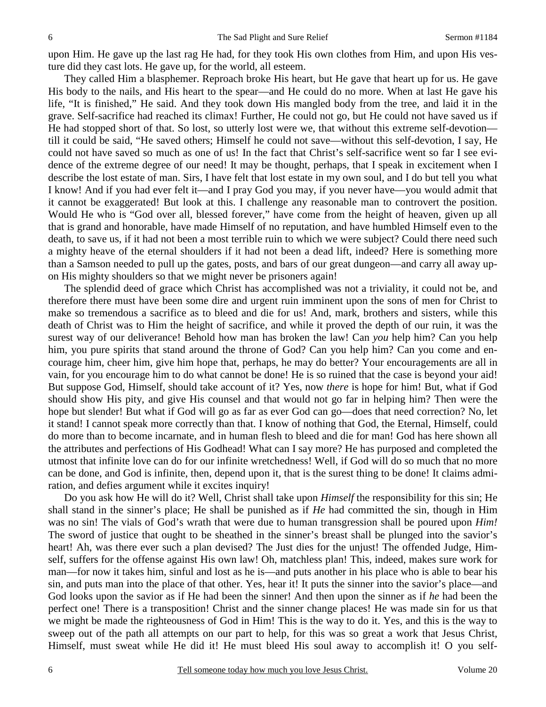upon Him. He gave up the last rag He had, for they took His own clothes from Him, and upon His vesture did they cast lots. He gave up, for the world, all esteem.

They called Him a blasphemer. Reproach broke His heart, but He gave that heart up for us. He gave His body to the nails, and His heart to the spear—and He could do no more. When at last He gave his life, "It is finished," He said. And they took down His mangled body from the tree, and laid it in the grave. Self-sacrifice had reached its climax! Further, He could not go, but He could not have saved us if He had stopped short of that. So lost, so utterly lost were we, that without this extreme self-devotion till it could be said, "He saved others; Himself he could not save—without this self-devotion, I say, He could not have saved so much as one of us! In the fact that Christ's self-sacrifice went so far I see evidence of the extreme degree of our need! It may be thought, perhaps, that I speak in excitement when I describe the lost estate of man. Sirs, I have felt that lost estate in my own soul, and I do but tell you what I know! And if you had ever felt it—and I pray God you may, if you never have—you would admit that it cannot be exaggerated! But look at this. I challenge any reasonable man to controvert the position. Would He who is "God over all, blessed forever," have come from the height of heaven, given up all that is grand and honorable, have made Himself of no reputation, and have humbled Himself even to the death, to save us, if it had not been a most terrible ruin to which we were subject? Could there need such a mighty heave of the eternal shoulders if it had not been a dead lift, indeed? Here is something more than a Samson needed to pull up the gates, posts, and bars of our great dungeon—and carry all away upon His mighty shoulders so that we might never be prisoners again!

The splendid deed of grace which Christ has accomplished was not a triviality, it could not be, and therefore there must have been some dire and urgent ruin imminent upon the sons of men for Christ to make so tremendous a sacrifice as to bleed and die for us! And, mark, brothers and sisters, while this death of Christ was to Him the height of sacrifice, and while it proved the depth of our ruin, it was the surest way of our deliverance! Behold how man has broken the law! Can *you* help him? Can you help him, you pure spirits that stand around the throne of God? Can you help him? Can you come and encourage him, cheer him, give him hope that, perhaps, he may do better? Your encouragements are all in vain, for you encourage him to do what cannot be done! He is so ruined that the case is beyond your aid! But suppose God, Himself, should take account of it? Yes, now *there* is hope for him! But, what if God should show His pity, and give His counsel and that would not go far in helping him? Then were the hope but slender! But what if God will go as far as ever God can go—does that need correction? No, let it stand! I cannot speak more correctly than that. I know of nothing that God, the Eternal, Himself, could do more than to become incarnate, and in human flesh to bleed and die for man! God has here shown all the attributes and perfections of His Godhead! What can I say more? He has purposed and completed the utmost that infinite love can do for our infinite wretchedness! Well, if God will do so much that no more can be done, and God is infinite, then, depend upon it, that is the surest thing to be done! It claims admiration, and defies argument while it excites inquiry!

Do you ask how He will do it? Well, Christ shall take upon *Himself* the responsibility for this sin; He shall stand in the sinner's place; He shall be punished as if *He* had committed the sin, though in Him was no sin! The vials of God's wrath that were due to human transgression shall be poured upon *Him!* The sword of justice that ought to be sheathed in the sinner's breast shall be plunged into the savior's heart! Ah, was there ever such a plan devised? The Just dies for the unjust! The offended Judge, Himself, suffers for the offense against His own law! Oh, matchless plan! This, indeed, makes sure work for man—for now it takes him, sinful and lost as he is—and puts another in his place who is able to bear his sin, and puts man into the place of that other. Yes, hear it! It puts the sinner into the savior's place—and God looks upon the savior as if He had been the sinner! And then upon the sinner as if *he* had been the perfect one! There is a transposition! Christ and the sinner change places! He was made sin for us that we might be made the righteousness of God in Him! This is the way to do it. Yes, and this is the way to sweep out of the path all attempts on our part to help, for this was so great a work that Jesus Christ, Himself, must sweat while He did it! He must bleed His soul away to accomplish it! O you self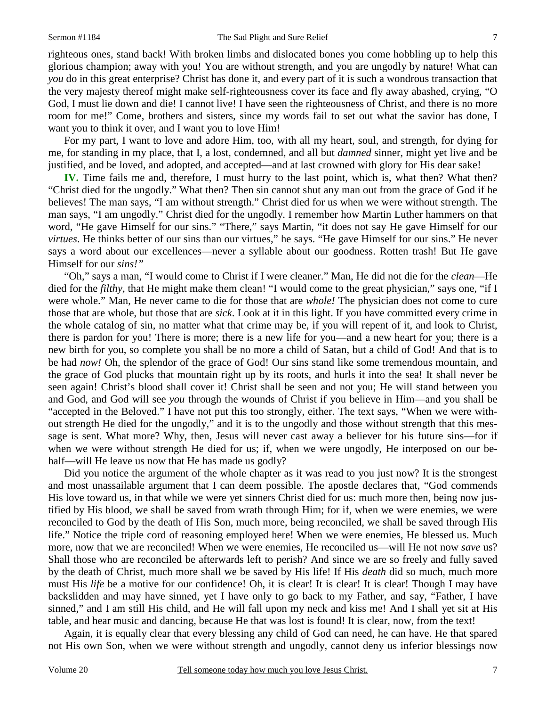righteous ones, stand back! With broken limbs and dislocated bones you come hobbling up to help this glorious champion; away with you! You are without strength, and you are ungodly by nature! What can *you* do in this great enterprise? Christ has done it, and every part of it is such a wondrous transaction that the very majesty thereof might make self-righteousness cover its face and fly away abashed, crying, "O God, I must lie down and die! I cannot live! I have seen the righteousness of Christ, and there is no more room for me!" Come, brothers and sisters, since my words fail to set out what the savior has done, I want you to think it over, and I want you to love Him!

For my part, I want to love and adore Him, too, with all my heart, soul, and strength, for dying for me, for standing in my place, that I, a lost, condemned, and all but *damned* sinner, might yet live and be justified, and be loved, and adopted, and accepted—and at last crowned with glory for His dear sake!

**IV.** Time fails me and, therefore, I must hurry to the last point, which is, what then? What then? "Christ died for the ungodly." What then? Then sin cannot shut any man out from the grace of God if he believes! The man says, "I am without strength." Christ died for us when we were without strength. The man says, "I am ungodly." Christ died for the ungodly. I remember how Martin Luther hammers on that word, "He gave Himself for our sins." "There," says Martin, "it does not say He gave Himself for our *virtues*. He thinks better of our sins than our virtues," he says. "He gave Himself for our sins." He never says a word about our excellences—never a syllable about our goodness. Rotten trash! But He gave Himself for our *sins!"*

"Oh," says a man, "I would come to Christ if I were cleaner." Man, He did not die for the *clean*—He died for the *filthy*, that He might make them clean! "I would come to the great physician," says one, "if I were whole." Man, He never came to die for those that are *whole!* The physician does not come to cure those that are whole, but those that are *sick*. Look at it in this light. If you have committed every crime in the whole catalog of sin, no matter what that crime may be, if you will repent of it, and look to Christ, there is pardon for you! There is more; there is a new life for you—and a new heart for you; there is a new birth for you, so complete you shall be no more a child of Satan, but a child of God! And that is to be had *now!* Oh, the splendor of the grace of God! Our sins stand like some tremendous mountain, and the grace of God plucks that mountain right up by its roots, and hurls it into the sea! It shall never be seen again! Christ's blood shall cover it! Christ shall be seen and not you; He will stand between you and God, and God will see *you* through the wounds of Christ if you believe in Him—and you shall be "accepted in the Beloved." I have not put this too strongly, either. The text says, "When we were without strength He died for the ungodly," and it is to the ungodly and those without strength that this message is sent. What more? Why, then, Jesus will never cast away a believer for his future sins—for if when we were without strength He died for us; if, when we were ungodly, He interposed on our behalf—will He leave us now that He has made us godly?

Did you notice the argument of the whole chapter as it was read to you just now? It is the strongest and most unassailable argument that I can deem possible. The apostle declares that, "God commends His love toward us, in that while we were yet sinners Christ died for us: much more then, being now justified by His blood, we shall be saved from wrath through Him; for if, when we were enemies, we were reconciled to God by the death of His Son, much more, being reconciled, we shall be saved through His life." Notice the triple cord of reasoning employed here! When we were enemies, He blessed us. Much more, now that we are reconciled! When we were enemies, He reconciled us—will He not now *save* us? Shall those who are reconciled be afterwards left to perish? And since we are so freely and fully saved by the death of Christ, much more shall we be saved by His life! If His *death* did so much, much more must His *life* be a motive for our confidence! Oh, it is clear! It is clear! It is clear! Though I may have backslidden and may have sinned, yet I have only to go back to my Father, and say, "Father, I have sinned," and I am still His child, and He will fall upon my neck and kiss me! And I shall yet sit at His table, and hear music and dancing, because He that was lost is found! It is clear, now, from the text!

Again, it is equally clear that every blessing any child of God can need, he can have. He that spared not His own Son, when we were without strength and ungodly, cannot deny us inferior blessings now